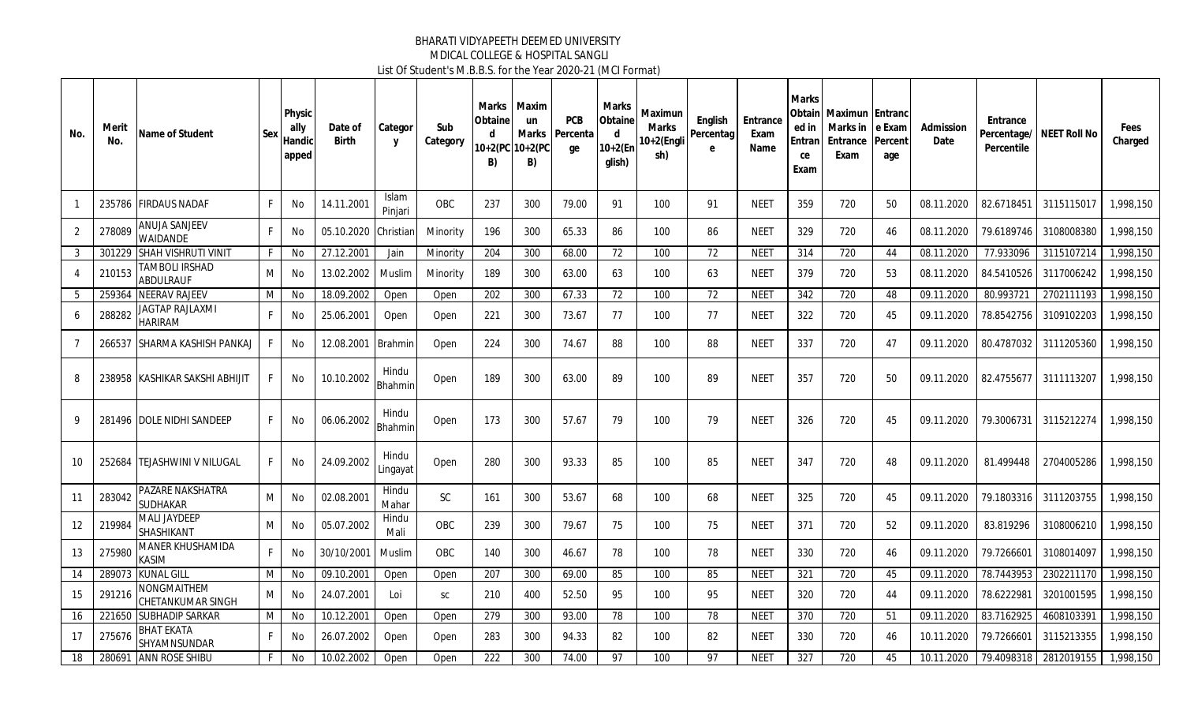| No.            | Merit<br>No. | Name of Student                            | Sex | Physic<br>ally<br>Handic<br>apped | Date of<br><b>Birth</b> | Categor<br>y            | Sub<br>Category | Marks<br>Obtaine<br><b>d</b><br>$10+2(PC)$<br>B) | <b>Maxim</b><br>un<br>Marks<br>$10+2(PC)$<br>B) | <b>PCB</b><br>Percenta<br>ge | Marks<br>Obtaine<br>d<br>$10+2(Er)$<br>glish) | Maximun<br>Marks<br>0+2(Engli<br>sh) | English<br>Percentag<br>e | Entrance<br>Exam<br>Name | <b>Marks</b><br>ed in<br>Entran<br>ce<br>Exam | <b>Obtainl Maximun IEntranc</b><br>Marks in Le Exam<br>Entrance<br>Exam | Percent<br>age | Admission<br>Date | Entrance<br>Percentage/<br>Percentile | NEET Roll No | Fees<br>Charged |
|----------------|--------------|--------------------------------------------|-----|-----------------------------------|-------------------------|-------------------------|-----------------|--------------------------------------------------|-------------------------------------------------|------------------------------|-----------------------------------------------|--------------------------------------|---------------------------|--------------------------|-----------------------------------------------|-------------------------------------------------------------------------|----------------|-------------------|---------------------------------------|--------------|-----------------|
|                |              | 235786 FIRDAUS NADAF                       | F.  | No                                | 14.11.2001              | <b>Islam</b><br>Pinjari | OBC             | 237                                              | 300                                             | 79.00                        | 91                                            | 100                                  | 91                        | <b>NEET</b>              | 359                                           | 720                                                                     | 50             | 08.11.2020        | 82.6718451                            | 3115115017   | 1,998,150       |
| $\overline{2}$ | 278089       | <b>ANUJA SANJEEV</b><br><b>WAIDANDE</b>    | F.  | No                                | 05.10.2020              | Christian               | Minority        | 196                                              | 300                                             | 65.33                        | 86                                            | 100                                  | 86                        | <b>NEET</b>              | 329                                           | 720                                                                     | 46             | 08.11.2020        | 79.6189746                            | 3108008380   | 1,998,150       |
| 3              | 301229       | <b>SHAH VISHRUTI VINIT</b>                 | F.  | No                                | 27.12.2001              | Jain                    | Minority        | 204                                              | 300                                             | 68.00                        | 72                                            | 100                                  | 72                        | <b>NEET</b>              | 314                                           | 720                                                                     | 44             | 08.11.2020        | 77.933096                             | 3115107214   | 1,998,150       |
|                | 210153       | TAMBOLI IRSHAD<br><b>ABDULRAUF</b>         | M   | No                                | 13.02.2002              | Muslim                  | Minority        | 189                                              | 300                                             | 63.00                        | 63                                            | 100                                  | 63                        | <b>NEET</b>              | 379                                           | 720                                                                     | 53             | 08.11.2020        | 84.5410526                            | 3117006242   | 1,998,150       |
| 5              | 259364       | <b>NEERAV RAJEEV</b>                       | M   | No                                | 18.09.2002              | Open                    | Open            | 202                                              | 300                                             | 67.33                        | 72                                            | 100                                  | 72                        | <b>NEET</b>              | 342                                           | 720                                                                     | 48             | 09.11.2020        | 80.993721                             | 2702111193   | 1,998,150       |
| 6              | 288282       | IAGTAP RAJLAXMI<br><b>HARIRAM</b>          | F.  | No                                | 25.06.2001              | Open                    | Open            | 221                                              | 300                                             | 73.67                        | 77                                            | 100                                  | 77                        | <b>NEET</b>              | 322                                           | 720                                                                     | 45             | 09.11.2020        | 78.8542756                            | 3109102203   | 1,998,150       |
| $\overline{7}$ | 266537       | <b>ISHARMA KASHISH PANKAJ</b>              |     | No                                | 12.08.2001              | Brahmin                 | Open            | 224                                              | 300                                             | 74.67                        | 88                                            | 100                                  | 88                        | <b>NEET</b>              | 337                                           | 720                                                                     | 47             | 09.11.2020        | 80.4787032                            | 3111205360   | 1,998,150       |
| 8              |              | 238958 KASHIKAR SAKSHI ABHIJIT             | F.  | No                                | 10.10.2002              | Hindu<br>Bhahmin        | Open            | 189                                              | 300                                             | 63.00                        | 89                                            | 100                                  | 89                        | <b>NEET</b>              | 357                                           | 720                                                                     | 50             | 09.11.2020        | 82.4755677                            | 3111113207   | 1.998.150       |
| 9              |              | 281496 IDOLE NIDHI SANDEEP                 | F.  | No                                | 06.06.2002              | Hindu<br>Bhahmin        | Open            | 173                                              | 300                                             | 57.67                        | 79                                            | 100                                  | 79                        | <b>NEET</b>              | 326                                           | 720                                                                     | 45             | 09.11.2020        | 79.3006731                            | 3115212274   | 1.998.150       |
| 10             |              | 252684 TEJASHWINI V NILUGAL                | F.  | No                                | 24.09.2002              | Hindu<br>Lingayat       | Open            | 280                                              | 300                                             | 93.33                        | 85                                            | 100                                  | 85                        | <b>NEET</b>              | 347                                           | 720                                                                     | 48             | 09.11.2020        | 81.499448                             | 2704005286   | 1,998,150       |
| 11             | 283042       | <b>PAZARE NAKSHATRA</b><br><b>SUDHAKAR</b> | M   | No                                | 02.08.2001              | Hindu<br>Mahar          | <b>SC</b>       | 161                                              | 300                                             | 53.67                        | 68                                            | 100                                  | 68                        | <b>NEET</b>              | 325                                           | 720                                                                     | 45             | 09.11.2020        | 79.1803316                            | 3111203755   | 1.998.150       |
| 12             | 219984       | <b>MALI JAYDEEP</b><br><b>SHASHIKANT</b>   | M   | No                                | 05.07.2002              | Hindu<br>Mali           | OBC             | 239                                              | 300                                             | 79.67                        | 75                                            | 100                                  | 75                        | <b>NEET</b>              | 371                                           | 720                                                                     | 52             | 09.11.2020        | 83.819296                             | 3108006210   | 1,998,150       |
| 13             | 275980       | MANER KHUSHAMIDA<br><b>KASIM</b>           | F.  | No                                | 30/10/2001              | Muslim                  | OBC             | 140                                              | 300                                             | 46.67                        | 78                                            | 100                                  | 78                        | <b>NEET</b>              | 330                                           | 720                                                                     | 46             | 09.11.2020        | 79.7266601                            | 3108014097   | 1,998,150       |
| 14             | 289073       | <b>KUNAL GILL</b>                          | M   | No                                | 09.10.2001              | Open                    | Open            | 207                                              | 300                                             | 69.00                        | 85                                            | 100                                  | 85                        | <b>NEET</b>              | 321                                           | $\overline{720}$                                                        | 45             | 09.11.2020        | 78.7443953                            | 2302211170   | 1,998,150       |
| 15             | 291216       | NONGMAITHEM<br><b>CHETANKUMAR SINGH</b>    | M   | No                                | 24.07.2001              | Loi                     | <b>SC</b>       | 210                                              | 400                                             | 52.50                        | 95                                            | 100                                  | 95                        | <b>NEET</b>              | 320                                           | 720                                                                     | 44             | 09.11.2020        | 78.6222981                            | 3201001595   | 1,998,150       |
| 16             | 221650       | <b>SUBHADIP SARKAR</b>                     | M   | No                                | 10.12.2001              | Open                    | Open            | 279                                              | 300                                             | 93.00                        | 78                                            | 100                                  | 78                        | <b>NEET</b>              | 370                                           | 720                                                                     | 51             | 09.11.2020        | 83.7162925                            | 4608103391   | 1,998,150       |
| 17             | 275676       | <b>BHAT EKATA</b><br>SHYAMNSUNDAR          | F.  | No                                | 26.07.2002              | Open                    | Open            | 283                                              | 300                                             | 94.33                        | 82                                            | 100                                  | 82                        | <b>NEET</b>              | 330                                           | 720                                                                     | 46             | 10.11.2020        | 79.7266601                            | 3115213355   | 1.998.150       |
| 18             | 280691       | <b>ANN ROSE SHIBU</b>                      | F.  | <b>No</b>                         | 10.02.2002              | Open                    | Open            | 222                                              | 300                                             | 74.00                        | 97                                            | 100                                  | 97                        | <b>NEE1</b>              | 327                                           | 720                                                                     | 45             | 10.11.2020        | 79.4098318                            | 2812019155   | 1,998,150       |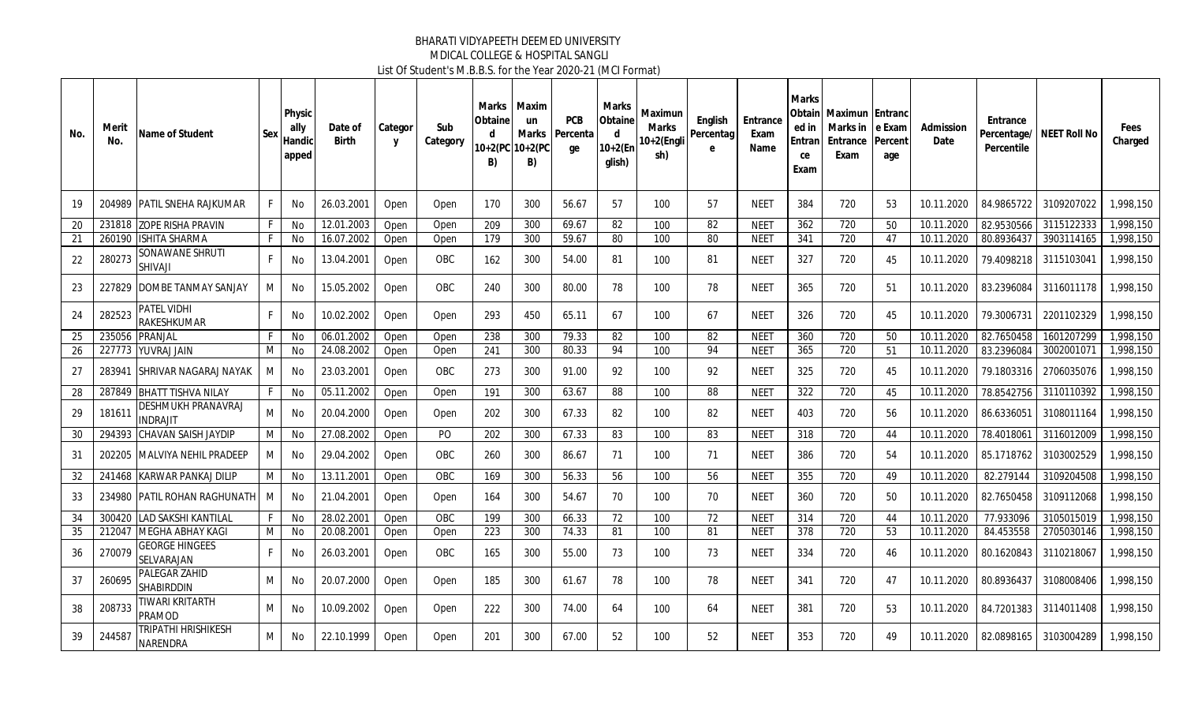| No. | Merit<br>No. | Name of Student                            | Sex | Physic<br>ally<br>Handic<br>apped | Date of<br><b>Birth</b> | Categor<br>Y | Sub<br>Category | Marks<br>Obtaine<br>d.<br>B) | Maxim<br>un<br><b>Marks</b><br>10+2(PC 10+2(PC<br>B) | <b>PCB</b><br>Percenta<br>ge | Marks<br>Obtaine<br>d<br>$10+2(Er)$<br>alish) | Maximun<br>Marks<br>0+2(Engli<br>sh) | English<br>Percentag<br>e | Entrance<br>Exam<br>Name | Marks<br>Obtain<br>ed in<br>Entran<br>ce<br>Exam | Maximun Entranc<br>Marks in<br>Entrance<br>Exam | e Exam<br>Percent<br>age | Admission<br>Date | Entrance<br>Percentile | Percentage/ NEET Roll No | Fees<br>Charged |
|-----|--------------|--------------------------------------------|-----|-----------------------------------|-------------------------|--------------|-----------------|------------------------------|------------------------------------------------------|------------------------------|-----------------------------------------------|--------------------------------------|---------------------------|--------------------------|--------------------------------------------------|-------------------------------------------------|--------------------------|-------------------|------------------------|--------------------------|-----------------|
| 19  |              | 204989 PATIL SNEHA RAJKUMAR                | F.  | No                                | 26.03.2001              | Open         | Open            | 170                          | 300                                                  | 56.67                        | 57                                            | 100                                  | 57                        | NEET                     | 384                                              | 720                                             | -53                      | 10.11.2020        | 84.9865722             | 3109207022               | 1.998.150       |
| 20  |              | 231818 ZOPE RISHA PRAVIN                   | F.  | No                                | 12.01.2003              | Open         | Open            | 209                          | 300                                                  | 69.67                        | 82                                            | 100                                  | 82                        | <b>NEET</b>              | 362                                              | $\overline{720}$                                | 50                       | 10.11.2020        | 82.9530566             | 3115122333               | ,998,150        |
| 21  | 260190       | <b>ISHITA SHARMA</b>                       | F.  | No                                | 16.07.2002              | Open         | Open            | 179                          | 300                                                  | 59.67                        | 80                                            | 100                                  | 80                        | <b>NEET</b>              | 341                                              | 720                                             | 47                       | 10.11.2020        | 80.8936437             | 3903114165               | 1,998,150       |
| 22  | 280273       | SONAWANE SHRUTI<br><b>SHIVAJI</b>          | F   | No                                | 13.04.2001              | Open         | <b>OBC</b>      | 162                          | 300                                                  | 54.00                        | 81                                            | 100                                  | 81                        | NEET                     | 327                                              | 720                                             | 45                       | 10.11.2020        | 79.4098218             | 3115103041               | 1,998,150       |
| 23  | 227829       | DOMBE TANMAY SANJAY                        | М   | No                                | 15.05.2002              | Open         | <b>OBC</b>      | 240                          | 300                                                  | 80.00                        | 78                                            | 100                                  | 78                        | NEET                     | 365                                              | 720                                             | -51                      | 10.11.2020        | 83.2396084             | 3116011178               | 1,998,150       |
| 24  | 282523       | PATEL VIDHI<br><b>RAKESHKUMAR</b>          | F.  | No                                | 10.02.2002              | Open         | Open            | 293                          | 450                                                  | 65.11                        | 67                                            | 100                                  | 67                        | NEET                     | 326                                              | 720                                             | 45                       | 10.11.2020        | 79.3006731             | 2201102329               | 1,998,150       |
| 25  | 235056       | <b>PRANJAL</b>                             | F.  | No                                | 06.01.2002              | Open         | Open            | 238                          | 300                                                  | 79.33                        | 82                                            | 100                                  | 82                        | <b>NEET</b>              | 360                                              | 720                                             | 50                       | 10.11.2020        | 82.7650458             | 1601207299               | ,998,150        |
| 26  | 227773       | YUVRAJ JAIN                                | M   | No                                | 24.08.2002              | Open         | Open            | 241                          | 300                                                  | 80.33                        | 94                                            | 100                                  | 94                        | <b>NEET</b>              | 365                                              | $\overline{720}$                                | 51                       | 10.11.2020        | 83.2396084             | 3002001071               | ,998,150        |
| 27  | 283941       | ISHRIVAR NAGARAJ NAYAK                     | M   | No                                | 23.03.2001              | Open         | <b>OBC</b>      | 273                          | 300                                                  | 91.00                        | 92                                            | 100                                  | 92                        | NEET                     | 325                                              | 720                                             | 45                       | 10.11.2020        | 79.1803316             | 2706035076               | 1,998,150       |
| 28  | 287849       | <b>BHATT TISHVA NILAY</b>                  | F   | No                                | 05.11.2002              | Open         | Open            | 191                          | 300                                                  | 63.67                        | 88                                            | 100                                  | 88                        | <b>NEET</b>              | 322                                              | 720                                             | 45                       | 10.11.2020        | 78.8542756             | 3110110392               | 1,998,150       |
| 29  | 181611       | DESHMUKH PRANAVRAJ<br>NDRAJIT              | M   | No                                | 20.04.2000              | Open         | Open            | 202                          | 300                                                  | 67.33                        | 82                                            | 100                                  | 82                        | NEET                     | 403                                              | 720                                             | 56                       | 10.11.2020        | 86.6336051             | 3108011164               | 1,998,150       |
| 30  | 294393       | CHAVAN SAISH JAYDIP                        | M   | No                                | 27.08.2002              | Open         | PO              | 202                          | 300                                                  | 67.33                        | 83                                            | 100                                  | 83                        | <b>NEET</b>              | 318                                              | 720                                             | 44                       | 10.11.2020        | 78.4018061             | 3116012009               | 1,998,150       |
| 31  | 202205       | MALVIYA NEHIL PRADEEP                      | M   | No                                | 29.04.2002              | Open         | <b>OBC</b>      | 260                          | 300                                                  | 86.67                        | 71                                            | 100                                  | 71                        | NEET                     | 386                                              | 720                                             | -54                      | 10.11.2020        | 85.1718762             | 3103002529               | 1.998.150       |
| 32  | 241468       | <b>KARWAR PANKAJ DILIP</b>                 | M   | No                                | 13.11.2001              | Open         | <b>OBC</b>      | 169                          | 300                                                  | 56.33                        | 56                                            | 100                                  | 56                        | <b>NEET</b>              | 355                                              | 720                                             | 49                       | 10.11.2020        | 82.279144              | 3109204508               | 1,998,150       |
| 33  | 234980       | PATIL ROHAN RAGHUNATH                      | M   | No                                | 21.04.2001              | Open         | Open            | 164                          | 300                                                  | 54.67                        | 70                                            | 100                                  | 70                        | NEET                     | 360                                              | 720                                             | 50                       | 10.11.2020        | 82.7650458             | 3109112068               | 1,998,150       |
| 34  | 300420       | ILAD SAKSHI KANTILAL                       | F.  | No                                | 28.02.2001              | Open         | <b>OBC</b>      | 199                          | 300                                                  | 66.33                        | 72                                            | 100                                  | 72                        | <b>NEET</b>              | 314                                              | 720                                             | 44                       | 10.11.2020        | 77.933096              | 3105015019               | 1,998,150       |
| 35  | 212047       | <b>MEGHA ABHAY KAGI</b>                    | M   | <b>No</b>                         | 20.08.2001              | Open         | Open            | 223                          | 300                                                  | 74.33                        | 81                                            | 100                                  | 81                        | <b>NEET</b>              | $\overline{378}$                                 | $\overline{720}$                                | 53                       | 10.11.2020        | 84.453558              | 2705030146               | ,998,150        |
| 36  | 270079       | <b>GEORGE HINGEES</b><br><b>SELVARAJAN</b> | F.  | No                                | 26.03.2001              | Open         | <b>OBC</b>      | 165                          | 300                                                  | 55.00                        | 73                                            | 100                                  | 73                        | NEET                     | 334                                              | 720                                             | 46                       | 10.11.2020        | 80.1620843             | 3110218067               | 1.998.150       |
| 37  | 260695       | PALEGAR ZAHID<br><b>SHABIRDDIN</b>         | M   | No                                | 20.07.2000              | Open         | Open            | 185                          | 300                                                  | 61.67                        | 78                                            | 100                                  | 78                        | <b>NEET</b>              | 341                                              | 720                                             | 47                       | 10.11.2020        | 80.8936437             | 3108008406               | 1,998,150       |
| 38  | 208733       | TIWARI KRITARTH<br>PRAMOD                  | М   | No                                | 10.09.2002              | Open         | Open            | 222                          | 300                                                  | 74.00                        | 64                                            | 100                                  | 64                        | NEET                     | 381                                              | 720                                             | 53                       | 10.11.2020        | 84.7201383             | 3114011408               | 1.998.150       |
| 39  | 244587       | TRIPATHI HRISHIKESH<br><b>NARENDRA</b>     | M   | No                                | 22.10.1999              | Open         | Open            | 201                          | 300                                                  | 67.00                        | 52                                            | 100                                  | 52                        | NEET                     | 353                                              | 720                                             | 49                       | 10.11.2020        | 82.0898165             | 3103004289               | 1.998.150       |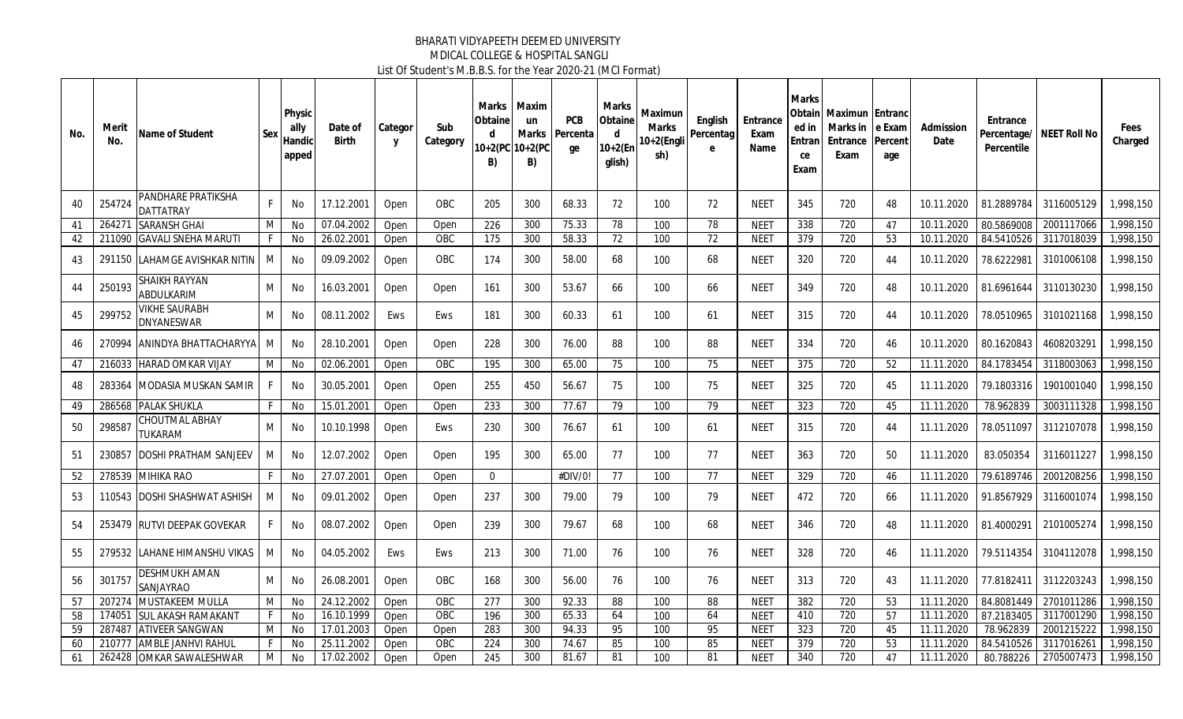| No. | Merit<br>No. | Name of Student                          | Sex | Physic<br>ally<br>Handic<br>apped | Date of<br><b>Birth</b> | Categor<br>y | Sub<br>Category | Marks<br>Obtaine<br>d<br>B) | Maxim<br>un<br>Marks<br>10+2(PC 10+2(PC<br>B) | <b>PCB</b><br>Percenta<br>ge | Marks<br>Obtaine<br>d<br>$10+2$ (En<br>glish) | Maximun<br>Marks<br>0+2(Engli<br>sh) | English<br>Percentag<br>e | Entrance<br>Exam<br>Name | <b>Marks</b><br>Obtainl<br>ed in<br>Entran<br>ce<br>Exam | <b>Maximun Entranc</b><br>Marks in Le Exam<br>Entrance<br>Exam | Percent<br>age | Admission<br>Date | Entrance<br>Percentile | Percentage/ NEET Roll No | Fees<br>Charged |
|-----|--------------|------------------------------------------|-----|-----------------------------------|-------------------------|--------------|-----------------|-----------------------------|-----------------------------------------------|------------------------------|-----------------------------------------------|--------------------------------------|---------------------------|--------------------------|----------------------------------------------------------|----------------------------------------------------------------|----------------|-------------------|------------------------|--------------------------|-----------------|
| 40  | 254724       | PANDHARE PRATIKSHA<br>DATTATRAY          | F   | No                                | 17.12.2001              | Open         | OBC             | 205                         | 300                                           | 68.33                        | 72                                            | 100                                  | 72                        | <b>NEET</b>              | 345                                                      | 720                                                            | 48             | 10.11.2020        | 81.2889784             | 3116005129               | 1,998,150       |
| 41  | 264271       | <b>SARANSH GHAI</b>                      | M   | No                                | 07.04.2002              | Open         | Open            | 226                         | 300                                           | 75.33                        | 78                                            | 100                                  | 78                        | <b>NEET</b>              | 338                                                      | 720                                                            | 47             | 10.11.2020        | 80.5869008             | 2001117066               | ,998,150        |
| 42  | 211090       | <b>GAVALI SNEHA MARUTI</b>               | F.  | No                                | 26.02.2001              | Open         | OBC             | 175                         | 300                                           | 58.33                        | $\overline{72}$                               | 100                                  | 72                        | <b>NEET</b>              | 379                                                      | 720                                                            | 53             | 10.11.2020        | 84.5410526             | 3117018039               | 1,998,150       |
| 43  | 291150       | LAHAMGE AVISHKAR NITIN                   | M   | No                                | 09.09.2002              | Open         | <b>OBC</b>      | 174                         | 300                                           | 58.00                        | 68                                            | 100                                  | 68                        | NEET                     | 320                                                      | 720                                                            | 44             | 10.11.2020        |                        | 78.6222981 3101006108    | 1,998,150       |
| 44  | 250193       | <b>SHAIKH RAYYAN</b><br>ABDULKARIM       | М   | No                                | 16.03.2001              | Open         | Open            | 161                         | 300                                           | 53.67                        | 66                                            | 100                                  | 66                        | <b>NEET</b>              | 349                                                      | 720                                                            | 48             | 10.11.2020        | 81.6961644             | 3110130230               | 1,998,150       |
| 45  | 299752       | VIKHE SAURABH<br>DNYANESWAR              | M   | No                                | 08.11.2002              | Ews          | Ews             | 181                         | 300                                           | 60.33                        | 61                                            | 100                                  | 61                        | <b>NEET</b>              | 315                                                      | 720                                                            | 44             | 10.11.2020        | 78.0510965             | 3101021168               | 1,998,150       |
| 46  | 270994       | ANINDYA BHATTACHARYYA   M                |     | No                                | 28.10.2001              | Open         | Open            | 228                         | 300                                           | 76.00                        | 88                                            | 100                                  | 88                        | <b>NEET</b>              | 334                                                      | 720                                                            | 46             | 10.11.2020        | 80.1620843             | 4608203291               | 1.998.150       |
| 47  | 216033       | <b>HARAD OMKAR VIJAY</b>                 | M   | No                                | 02.06.2001              | Open         | OBC             | 195                         | 300                                           | 65.00                        | 75                                            | 100                                  | 75                        | <b>NEET</b>              | 375                                                      | $\overline{720}$                                               | 52             | 11.11.2020        | 84.1783454             | 3118003063               | 1,998,150       |
| 48  | 283364       | IMODASIA MUSKAN SAMIR                    | F   | No                                | 30.05.2001              | Open         | Open            | 255                         | 450                                           | 56.67                        | 75                                            | 100                                  | 75                        | <b>NEET</b>              | 325                                                      | 720                                                            | 45             | 11.11.2020        | 79.1803316             | 1901001040               | 1.998.150       |
| 49  | 286568       | <b>PALAK SHUKLA</b>                      | F.  | No                                | 15.01.2001              | Open         | Open            | 233                         | 300                                           | 77.67                        | 79                                            | 100                                  | 79                        | <b>NEET</b>              | 323                                                      | 720                                                            | 45             | 11.11.2020        | 78.962839              | 3003111328               | 1,998,150       |
| 50  | 298587       | CHOUTMAL ABHAY<br>TUKARAM                | M   | No                                | 10.10.1998              | Open         | Ews             | 230                         | 300                                           | 76.67                        | 61                                            | 100                                  | 61                        | NEET                     | 315                                                      | 720                                                            | 44             | 11.11.2020        |                        | 78.0511097 3112107078    | 1,998,150       |
| 51  | 230857       | <b>DOSHI PRATHAM SANJEEV</b>             | M   | No                                | 12.07.2002              | Open         | Open            | 195                         | 300                                           | 65.00                        | 77                                            | 100                                  | 77                        | <b>NEET</b>              | 363                                                      | 720                                                            | 50             | 11.11.2020        | 83.050354              | 3116011227               | 1.998.150       |
| 52  | 278539       | <b>MIHIKA RAO</b>                        | F.  | No                                | 27.07.2001              | Open         | Open            | $\mathbf 0$                 |                                               | #DIV/0!                      | 77                                            | 100                                  | 77                        | <b>NEET</b>              | 329                                                      | 720                                                            | 46             | 11.11.2020        | 79.6189746             | 2001208256               | 1,998,150       |
| 53  |              | 110543 IDOSHI SHASHWAT ASHISH            | M   | No                                | 09.01.2002              | Open         | Open            | 237                         | 300                                           | 79.00                        | 79                                            | 100                                  | 79                        | <b>NEET</b>              | 472                                                      | 720                                                            | 66             | 11.11.2020        | 91.8567929             | 3116001074               | 1.998.150       |
| 54  | 253479       | <b>RUTVI DEEPAK GOVEKAR</b>              | F   | No                                | 08.07.2002              | Open         | Open            | 239                         | 300                                           | 79.67                        | 68                                            | 100                                  | 68                        | <b>NEET</b>              | 346                                                      | 720                                                            | 48             | 11.11.2020        |                        | 81.4000291 2101005274    | 1,998,150       |
| 55  | 279532       | LAHANE HIMANSHU VIKAS                    | M   | No                                | 04.05.2002              | Ews          | Ews             | 213                         | 300                                           | 71.00                        | 76                                            | 100                                  | 76                        | <b>NEET</b>              | 328                                                      | 720                                                            | 46             | 11.11.2020        | 79.5114354             | 3104112078               | 1,998,150       |
| 56  | 301757       | <b>DESHMUKH AMAN</b><br><b>SANJAYRAO</b> | M   | No                                | 26.08.2001              | Open         | <b>OBC</b>      | 168                         | 300                                           | 56.00                        | 76                                            | 100                                  | 76                        | <b>NEET</b>              | 313                                                      | 720                                                            | 43             | 11.11.2020        |                        | 77.8182411 3112203243    | 1,998,150       |
| 57  | 207274       | <b>MUSTAKEEM MULLA</b>                   | M   | No                                | 24.12.2002              | Open         | OBC             | 277                         | 300                                           | 92.33                        | 88                                            | 100                                  | 88                        | NEET                     | 382                                                      | 720                                                            | 53             | 11.11.2020        | 84.8081449             | 2701011286               | ,998,150        |
| 58  | 174051       | <b>ISUL AKASH RAMAKANT</b>               | F.  | No                                | 16.10.1999              | Open         | OBC             | 196                         | 300                                           | 65.33                        | 64                                            | 100                                  | 64                        | <b>NEET</b>              | 410                                                      | $\overline{720}$                                               | 57             | 11.11.2020        | 87.2183405             | 3117001290               | 1,998,150       |
| 59  | 287487       | <b>LATIVEER SANGWAN</b>                  | M   | No                                | 17.01.2003              | Open         | Open            | 283                         | 300                                           | 94.33                        | 95                                            | 100                                  | 95                        | <b>NEET</b>              | 323                                                      | 720                                                            | 45             | 11.11.2020        | 78.962839              | 2001215222               | ,998,150        |
| 60  | 210777       | <b>AMBLE JANHVI RAHUL</b>                | F   | No                                | 25.11.2002              | Open         | OBC             | 224                         | 300                                           | 74.67                        | 85                                            | 100                                  | 85                        | <b>NEET</b>              | $\overline{379}$                                         | $\overline{720}$                                               | 53             | 11.11.2020        | 84.5410526             | 3117016261               | .998.150        |
| 61  | 262428       | <b>OMKAR SAWALESHWAR</b>                 | M   | No                                | 17.02.2002              | Open         | Open            | 245                         | 300                                           | 81.67                        | 81                                            | 100                                  | 81                        | <b>NEET</b>              | 340                                                      | 720                                                            | 47             | 11.11.2020        | 80.788226              | 2705007473               | 1,998,150       |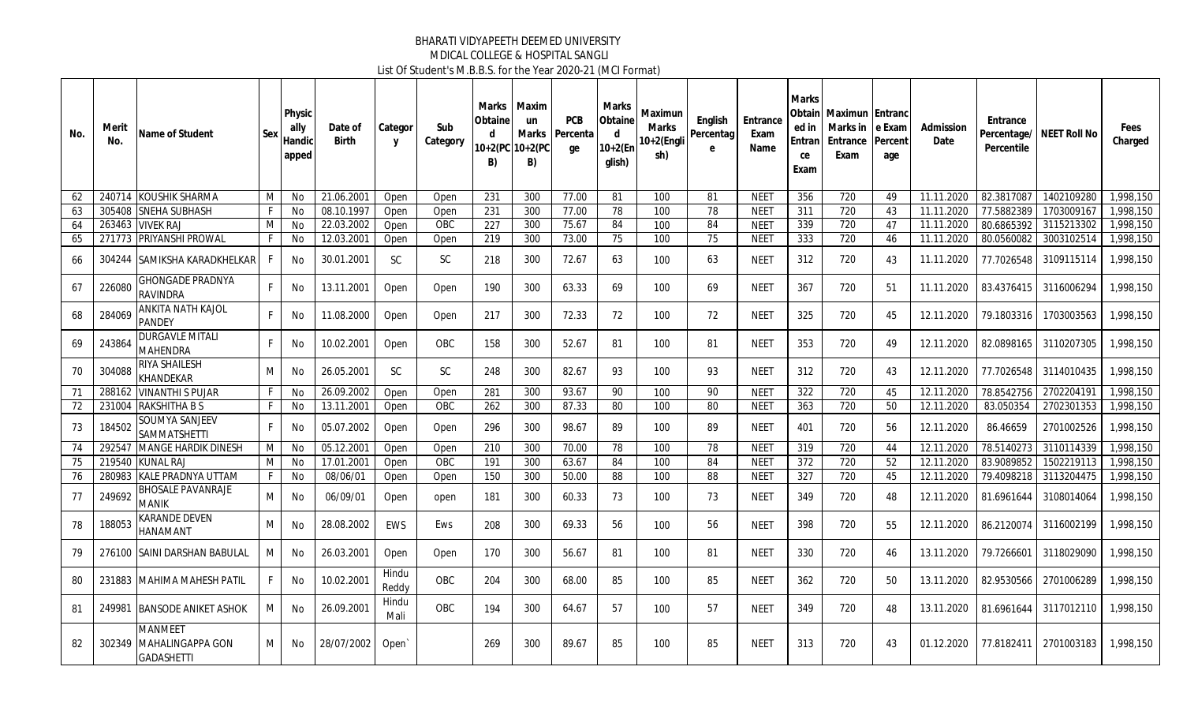| No. | Merit<br>No. | Name of Student                                                | Sex          | Physic<br>ally<br>Handic<br>apped | Date of<br>Birth | Categor<br>y   | Sub<br>Category | Marks<br>Obtainel<br>d<br>$10+2(PC)$<br>B) | Maxim<br>un<br>Marks<br>$10+2(PC)$<br>B) | <b>PCB</b><br>Percenta<br>ge | Marks<br>Obtaine<br>d<br>$10+2(Er)$<br>glish) | Maximun<br>Marks<br>0+2(Engli<br>sh) | English<br>Percentag<br>e | Entrance<br>Exam<br>Name | Marks<br>Obtain<br>ed in<br>Entran<br>ce<br>Exam | <b>Maximun Entranc</b><br>Marks in<br>Entrance<br>Exam | e Exam<br>Percent<br>age | Admission<br>Date | Entrance<br>Percentile | Percentage/ NEET Roll No | Fees<br>Charged |
|-----|--------------|----------------------------------------------------------------|--------------|-----------------------------------|------------------|----------------|-----------------|--------------------------------------------|------------------------------------------|------------------------------|-----------------------------------------------|--------------------------------------|---------------------------|--------------------------|--------------------------------------------------|--------------------------------------------------------|--------------------------|-------------------|------------------------|--------------------------|-----------------|
| 62  |              | 240714 KOUSHIK SHARMA                                          | M            | No                                | 21.06.2001       | Open           | Open            | 231                                        | 300                                      | 77.00                        | 81                                            | 100                                  | 81                        | <b>NEET</b>              | 356                                              | 720                                                    | 49                       | 11.11.2020        | 82.3817087             | 1402109280               | ,998,150        |
| 63  | 305408       | <b>SNEHA SUBHASH</b>                                           | F.           | No                                | 08.10.1997       | Open           | Open            | 231                                        | 300                                      | 77.00                        | 78                                            | 100                                  | 78                        | <b>NEET</b>              | 311                                              | 720                                                    | 43                       | 11.11.2020        | 77.5882389             | 1703009167               | 1,998,150       |
| 64  | 263463       | <b>VIVEK RAJ</b>                                               | M            | <b>No</b>                         | 22.03.2002       | Open           | OBC             | 227                                        | 300                                      | 75.67                        | 84                                            | 100                                  | 84                        | <b>NEET</b>              | 339                                              | 720                                                    | 47                       | 11.11.2020        | 80.6865392             | 3115213302               | .998.150        |
| 65  | 271773       | <b>PRIYANSHI PROWAL</b>                                        | F.           | No                                | 12.03.2001       | Open           | Open            | $\overline{219}$                           | 300                                      | 73.00                        | 75                                            | 100                                  | 75                        | <b>NEET</b>              | 333                                              | 720                                                    | 46                       | 11.11.2020        | 80.0560082             | 3003102514               | 1,998,150       |
| 66  | 304244       | <b>ISAMIKSHA KARADKHELKAR</b>                                  | -F           | No                                | 30.01.2001       | SC             | SC              | 218                                        | 300                                      | 72.67                        | 63                                            | 100                                  | 63                        | NEET                     | 312                                              | 720                                                    | 43                       | 11.11.2020        | 77.7026548             | 3109115114               | 1.998.150       |
| 67  | 226080       | GHONGADE PRADNYA<br>RAVINDRA                                   | F.           | No                                | 13.11.2001       | Open           | Open            | 190                                        | 300                                      | 63.33                        | 69                                            | 100                                  | 69                        | NEET                     | 367                                              | 720                                                    | 51                       | 11.11.2020        | 83.4376415             | 3116006294               | ,998,150        |
| 68  | 284069       | ANKITA NATH KAJOL<br><b>PANDEY</b>                             | F.           | No                                | 11.08.2000       | Open           | Open            | 217                                        | 300                                      | 72.33                        | 72                                            | 100                                  | 72                        | <b>NEET</b>              | 325                                              | 720                                                    | 45                       | 12.11.2020        | 79.1803316             | 1703003563               | 1.998.150       |
| 69  | 243864       | <b>DURGAVLE MITALI</b><br><b>MAHENDRA</b>                      | F.           | No                                | 10.02.2001       | Open           | OBC             | 158                                        | 300                                      | 52.67                        | 81                                            | 100                                  | 81                        | <b>NEET</b>              | 353                                              | 720                                                    | 49                       | 12.11.2020        | 82.0898165             | 3110207305               | 1,998,150       |
| 70  | 304088       | RIYA SHAILESH<br><b>KHANDEKAR</b>                              | M            | No                                | 26.05.2001       | <b>SC</b>      | SC              | 248                                        | 300                                      | 82.67                        | 93                                            | 100                                  | 93                        | NEET                     | 312                                              | 720                                                    | 43                       | 12.11.2020        | 77.7026548             | 3114010435               | 1.998.150       |
| 71  | 288162       | <b>VINANTHI S PUJAR</b>                                        | $\mathsf{F}$ | <b>No</b>                         | 26.09.2002       | Open           | Open            | 281                                        | 300                                      | 93.67                        | 90                                            | 100                                  | 90                        | <b>NEET</b>              | 322                                              | 720                                                    | 45                       | 12.11.2020        | 78.8542756             | 2702204191               | ,998,150        |
| 72  | 231004       | <b>RAKSHITHA B S</b>                                           | $\mathsf{F}$ | No                                | 13.11.2001       | Open           | <b>OBC</b>      | 262                                        | 300                                      | 87.33                        | 80                                            | 100                                  | 80                        | <b>NEET</b>              | 363                                              | $\overline{720}$                                       | 50                       | 12.11.2020        | 83.050354              | 2702301353               | 1,998,150       |
| 73  | 184502       | SOUMYA SANJEEV<br><b>SAMMATSHETTI</b>                          | F.           | No                                | 05.07.2002       | Open           | Open            | 296                                        | 300                                      | 98.67                        | 89                                            | 100                                  | 89                        | NEET                     | 401                                              | 720                                                    | 56                       | 12.11.2020        | 86.46659               | 2701002526               | 1,998,150       |
| 74  | 292547       | <b>MANGE HARDIK DINESH</b>                                     | M            | No                                | 05.12.2001       | Open           | Open            | 210                                        | 300                                      | 70.00                        | 78                                            | 100                                  | 78                        | <b>NEET</b>              | 319                                              | 720                                                    | 44                       | 12.11.2020        | 78.5140273             | 3110114339               | 1,998,150       |
| 75  | 219540       | <b>KUNAL RAJ</b>                                               | M            | No                                | 17.01.2001       | Open           | <b>OBC</b>      | $\overline{191}$                           | 300                                      | 63.67                        | 84                                            | 100                                  | 84                        | <b>NEET</b>              | 372                                              | 720                                                    | 52                       | 12.11.2020        | 83.9089852             | 1502219113               | 1,998,150       |
| 76  | 280983       | <b>KALE PRADNYA UTTAM</b>                                      | F            | No                                | 08/06/01         | Open           | Open            | 150                                        | 300                                      | 50.00                        | 88                                            | 100                                  | 88                        | <b>NEET</b>              | 327                                              | $\overline{720}$                                       | 45                       | 12.11.2020        | 79.4098218             | 3113204475               | 1,998,150       |
| 77  | 249692       | <b>BHOSALE PAVANRAJE</b><br>MANIK                              | М            | No                                | 06/09/01         | Open           | open            | 181                                        | 300                                      | 60.33                        | 73                                            | 100                                  | 73                        | NEET                     | 349                                              | 720                                                    | 48                       | 12.11.2020        | 81.6961644             | 3108014064               | 1,998,150       |
| 78  | 188053       | KARANDE DEVEN<br>HANAMANT                                      | М            | No                                | 28.08.2002       | <b>EWS</b>     | Ews             | 208                                        | 300                                      | 69.33                        | 56                                            | 100                                  | 56                        | <b>NEET</b>              | 398                                              | 720                                                    | 55                       | 12.11.2020        | 86.2120074             | 3116002199               | 1,998,150       |
| 79  | 276100       | <b>SAINI DARSHAN BABULAL</b>                                   | М            | No                                | 26.03.2001       | Open           | Open            | 170                                        | 300                                      | 56.67                        | 81                                            | 100                                  | 81                        | NEET                     | 330                                              | 720                                                    | 46                       | 13.11.2020        |                        | 79.7266601 3118029090    | 1,998,150       |
| 80  | 231883       | MAHIMA MAHESH PATIL                                            | F.           | No                                | 10.02.2001       | Hindu<br>Reddy | OBC             | 204                                        | 300                                      | 68.00                        | 85                                            | 100                                  | 85                        | <b>NEET</b>              | 362                                              | 720                                                    | 50                       | 13.11.2020        | 82.9530566             | 2701006289               | 1,998,150       |
| 81  | 249981       | <b>BANSODE ANIKET ASHOK</b>                                    | м            | No                                | 26.09.2001       | Hindu<br>Mali  | OBC             | 194                                        | 300                                      | 64.67                        | 57                                            | 100                                  | 57                        | NEET                     | 349                                              | 720                                                    | 48                       | 13.11.2020        | 81.6961644             | 3117012110               | 1.998.150       |
| 82  | 302349       | <b>MANMEET</b><br><b>MAHALINGAPPA GON</b><br><b>GADASHETTI</b> | М            | No                                | 28/07/2002       | Open           |                 | 269                                        | 300                                      | 89.67                        | 85                                            | 100                                  | 85                        | NEET                     | 313                                              | 720                                                    | 43                       | 01.12.2020        |                        | 77.8182411 2701003183    | 1,998,150       |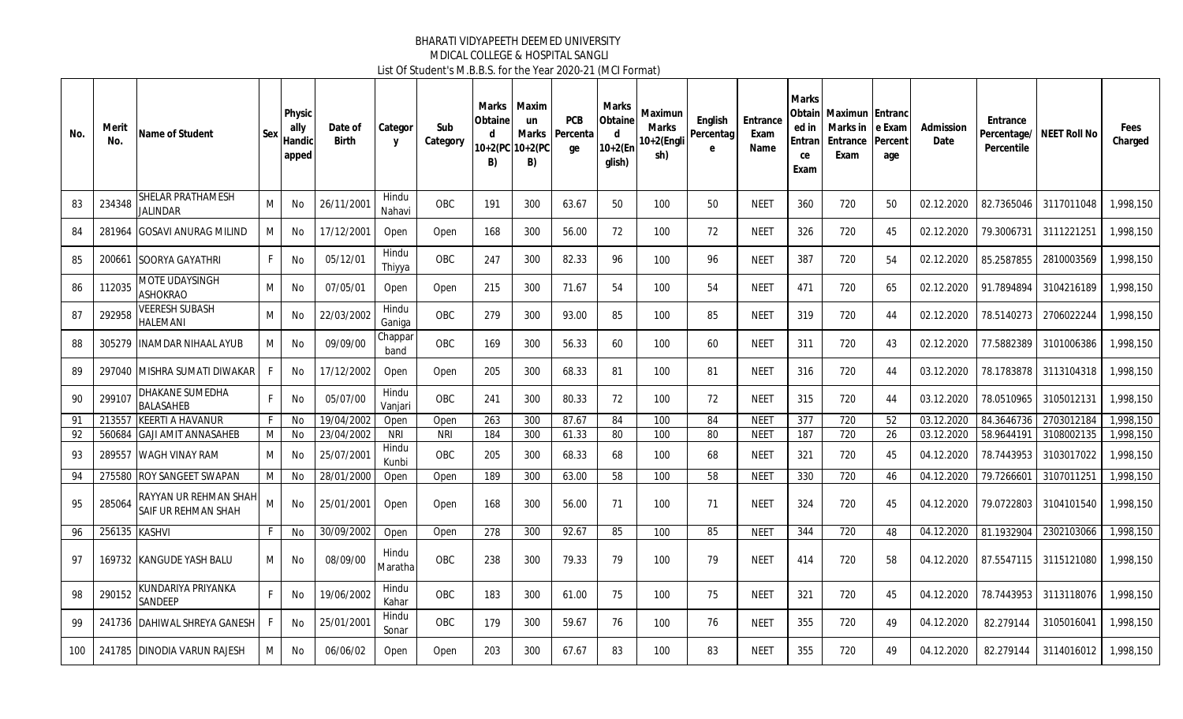| No. | Merit<br>No.  | Name of Student                                     | Sex | Physic<br>ally<br>Handic<br>apped | Date of<br><b>Birth</b> | Categor<br>$\mathsf{v}$ | Sub<br>Category | Marks<br>Obtaine<br>d<br>B) | Maxim<br><b>un</b><br>Marks<br>10+2(PC 10+2(PC<br>B) | <b>PCB</b><br>Percenta<br>qe | Marks<br>Obtaine<br>d<br>$10+2$ (En<br>glish) | Maximun<br>Marks<br>10+2(Engli<br>sh) | English<br>Percentag<br>e | Entrance<br>Exam<br>Name | <b>Marks</b><br>ed in<br>Entran<br>ce<br>Exam | <b>Obtainl Maximun Entranc</b><br>Marks in<br>Entrance<br>Exam | e Exam<br>Percent<br>age | Admission<br>Date | Entrance<br>Percentage/<br>Percentile | NEET Roll No | Fees<br>Charged |
|-----|---------------|-----------------------------------------------------|-----|-----------------------------------|-------------------------|-------------------------|-----------------|-----------------------------|------------------------------------------------------|------------------------------|-----------------------------------------------|---------------------------------------|---------------------------|--------------------------|-----------------------------------------------|----------------------------------------------------------------|--------------------------|-------------------|---------------------------------------|--------------|-----------------|
| 83  | 234348        | <b>SHELAR PRATHAMESH</b><br><b>JALINDAR</b>         | M   | No                                | 26/11/2001              | Hindu<br>Nahavi         | OBC             | 191                         | 300                                                  | 63.67                        | 50                                            | 100                                   | 50                        | <b>NEET</b>              | 360                                           | 720                                                            | 50                       | 02.12.2020        | 82.7365046                            | 3117011048   | 1,998,150       |
| 84  | 281964        | <b>GOSAVI ANURAG MILIND</b>                         | М   | No                                | 17/12/2001              | Open                    | Open            | 168                         | 300                                                  | 56.00                        | 72                                            | 100                                   | 72                        | <b>NEET</b>              | 326                                           | 720                                                            | 45                       | 02.12.2020        | 79.3006731                            | 3111221251   | 1,998,150       |
| 85  |               | 200661 SOORYA GAYATHRI                              | F.  | No                                | 05/12/01                | Hindu<br>Thiyya         | OBC             | 247                         | 300                                                  | 82.33                        | 96                                            | 100                                   | 96                        | <b>NEET</b>              | 387                                           | 720                                                            | 54                       | 02.12.2020        | 85.2587855                            | 2810003569   | 1,998,150       |
| 86  | 112035        | <b>MOTE UDAYSINGH</b><br><b>ASHOKRAO</b>            | м   | No                                | 07/05/01                | Open                    | Open            | 215                         | 300                                                  | 71.67                        | 54                                            | 100                                   | 54                        | <b>NEET</b>              | 471                                           | 720                                                            | 65                       | 02.12.2020        | 91.7894894                            | 3104216189   | 1,998,150       |
| 87  | 292958        | <b>VEERESH SUBASH</b><br><b>HALEMANI</b>            | м   | No                                | 22/03/2002              | Hindu<br>Ganiga         | OBC             | 279                         | 300                                                  | 93.00                        | 85                                            | 100                                   | 85                        | <b>NEET</b>              | 319                                           | 720                                                            | 44                       | 02.12.2020        | 78.5140273                            | 2706022244   | 1,998,150       |
| 88  | 305279        | <b>INAMDAR NIHAAL AYUB</b>                          | М   | <b>No</b>                         | 09/09/00                | Chappar<br>band         | <b>OBC</b>      | 169                         | 300                                                  | 56.33                        | 60                                            | 100                                   | 60                        | <b>NEET</b>              | 311                                           | 720                                                            | 43                       | 02.12.2020        | 77.5882389                            | 3101006386   | 1,998.150       |
| 89  |               | 297040 MISHRA SUMATI DIWAKAR                        | F.  | No                                | 17/12/2002              | Open                    | Open            | 205                         | 300                                                  | 68.33                        | 81                                            | 100                                   | 81                        | <b>NEET</b>              | 316                                           | 720                                                            | 44                       | 03.12.2020        | 78.1783878                            | 3113104318   | 1,998,150       |
| 90  | 299107        | DHAKANE SUMEDHA<br><b>BALASAHEB</b>                 | F   | No                                | 05/07/00                | Hindu<br>Vanjari        | OBC             | 241                         | 300                                                  | 80.33                        | 72                                            | 100                                   | 72                        | <b>NEET</b>              | 315                                           | 720                                                            | 44                       | 03.12.2020        | 78.0510965                            | 3105012131   | 1,998,150       |
| 91  |               | 213557 KEERTI A HAVANUR                             | F.  | No                                | 19/04/2002              | Open                    | Open            | 263                         | 300                                                  | 87.67                        | 84                                            | 100                                   | 84                        | NEET                     | 377                                           | 720                                                            | 52                       | 03.12.2020        | 84.3646736                            | 2703012184   | 1,998,150       |
| 92  |               | 560684 GAJI AMIT ANNASAHEB                          | M   | No                                | 23/04/2002              | <b>NRI</b>              | <b>NRI</b>      | 184                         | 300                                                  | 61.33                        | 80                                            | 100                                   | 80                        | <b>NEET</b>              | 187                                           | 720                                                            | 26                       | 03.12.2020        | 58.9644191                            | 3108002135   | 1,998,150       |
| 93  | 289557        | WAGH VINAY RAM                                      | М   | No                                | 25/07/2001              | Hindu<br>Kunbi          | <b>OBC</b>      | 205                         | 300                                                  | 68.33                        | 68                                            | 100                                   | 68                        | <b>NEET</b>              | 321                                           | 720                                                            | 45                       | 04.12.2020        | 78.7443953                            | 3103017022   | 1,998,150       |
| 94  | 275580        | <b>ROY SANGEET SWAPAN</b>                           | M   | No                                | 28/01/2000              | Open                    | Open            | 189                         | 300                                                  | 63.00                        | 58                                            | 100                                   | 58                        | <b>NEET</b>              | 330                                           | 720                                                            | 46                       | 04.12.2020        | 79.726660                             | 3107011251   | 1,998,150       |
| 95  | 285064        | <b>RAYYAN UR REHMAN SHAH</b><br>SAIF UR REHMAN SHAH | M   | No                                | 25/01/2001              | Open                    | Open            | 168                         | 300                                                  | 56.00                        | 71                                            | 100                                   | 71                        | <b>NEET</b>              | 324                                           | 720                                                            | 45                       | 04.12.2020        | 79.0722803                            | 3104101540   | 1,998,150       |
| 96  | 256135 KASHVI |                                                     | F.  | No                                | 30/09/2002              | Open                    | Open            | 278                         | 300                                                  | 92.67                        | 85                                            | 100                                   | 85                        | <b>NEET</b>              | 344                                           | 720                                                            | 48                       | 04.12.2020        | 81.1932904                            | 2302103066   | 1,998.150       |
| 97  |               | 169732 KANGUDE YASH BALU                            | м   | No                                | 08/09/00                | Hindu<br>Maratha        | <b>OBC</b>      | 238                         | 300                                                  | 79.33                        | 79                                            | 100                                   | 79                        | <b>NEET</b>              | 414                                           | 720                                                            | 58                       | 04.12.2020        | 87.5547115                            | 3115121080   | 1.998.150       |
| 98  | 290152        | KUNDARIYA PRIYANKA<br>SANDEEP                       | F   | No                                | 19/06/2002              | Hindu<br>Kahar          | OBC             | 183                         | 300                                                  | 61.00                        | 75                                            | 100                                   | 75                        | <b>NEET</b>              | 321                                           | 720                                                            | 45                       | 04.12.2020        | 78.7443953                            | 3113118076   | 1,998,150       |
| 99  |               | 241736 DAHIWAL SHREYA GANESH                        | F.  | No                                | 25/01/2001              | Hindu<br>Sonar          | OBC             | 179                         | 300                                                  | 59.67                        | 76                                            | 100                                   | 76                        | <b>NEET</b>              | 355                                           | 720                                                            | 49                       | 04.12.2020        | 82.279144                             | 3105016041   | 1.998.150       |
| 100 |               | 241785 DINODIA VARUN RAJESH                         | м   | No                                | 06/06/02                | Open                    | Open            | 203                         | 300                                                  | 67.67                        | 83                                            | 100                                   | 83                        | <b>NEET</b>              | 355                                           | 720                                                            | 49                       | 04.12.2020        | 82.279144                             | 3114016012   | 1,998,150       |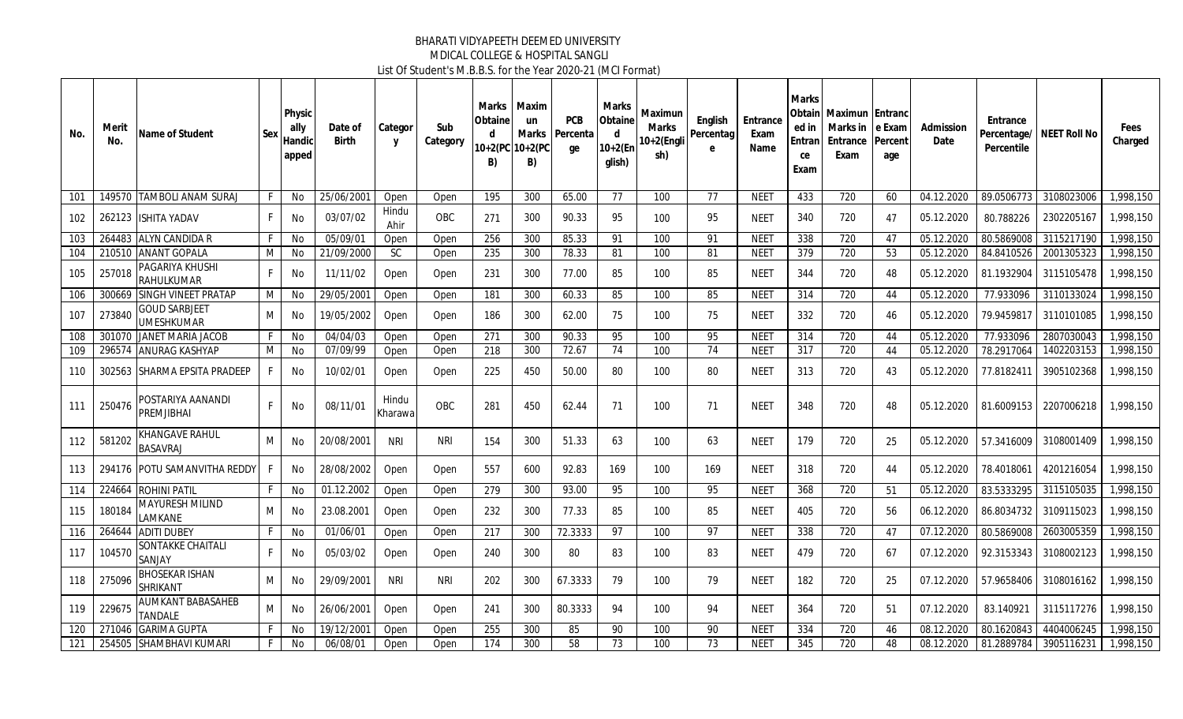| No. | Merit<br>No. | Name of Student                            | Sex | Physic<br>ally<br>Handici<br>apped | Date of<br><b>Birth</b> | Categor<br>Y     | Sub<br>Category | Marks<br>Obtaine<br>d<br>B) | Maxim<br>un<br>Marks<br>10+2(PC 10+2(PC<br>B) | <b>PCB</b><br>Percenta<br>ge | Marks<br>Obtaine<br>d<br>$10+2$ (En<br>glish) | Maximun<br>Marks<br>10+2(Engli<br>sh) | English<br>Percentag<br>e | Entrance<br>Exam<br>Name | <b>Marks</b><br>ed in<br>Entran<br>ce<br>Exam | <b>Obtainl Maximun Entranc</b><br>Marks in<br><b>Entrance Percent</b><br>Exam | I e Exam<br>age | Admission<br>Date | Entrance<br>Percentile | Percentage/ NEET Roll No | Fees<br>Charged |
|-----|--------------|--------------------------------------------|-----|------------------------------------|-------------------------|------------------|-----------------|-----------------------------|-----------------------------------------------|------------------------------|-----------------------------------------------|---------------------------------------|---------------------------|--------------------------|-----------------------------------------------|-------------------------------------------------------------------------------|-----------------|-------------------|------------------------|--------------------------|-----------------|
| 101 |              | 149570 TAMBOLI ANAM SURAJ                  | F.  | No                                 | 25/06/2001              | Open             | Open            | 195                         | 300                                           | 65.00                        | 77                                            | 100                                   | 77                        | <b>NEET</b>              | 433                                           | 720                                                                           | 60              | 04.12.2020        | 89.0506773             | 3108023006               | 1,998,150       |
| 102 |              | 262123 ISHITA YADAV                        | F.  | No                                 | 03/07/02                | Hindu<br>Ahir    | OBC             | 271                         | 300                                           | 90.33                        | 95                                            | 100                                   | 95                        | <b>NEET</b>              | 340                                           | 720                                                                           | 47              | 05.12.2020        | 80.788226              | 2302205167               | 1,998,150       |
| 103 |              | 264483 ALYN CANDIDA R                      | F.  | No                                 | 05/09/01                | Open             | Open            | 256                         | 300                                           | 85.33                        | 91                                            | 100                                   | 91                        | <b>NEE1</b>              | 338                                           | 720                                                                           | 47              | 05.12.2020        | 80.5869008             | 3115217190               | 1,998,150       |
| 104 | 210510       | <b>ANANT GOPALA</b>                        | М   | No                                 | 21/09/2000              | <b>SC</b>        | Open            | 235                         | 300                                           | 78.33                        | 81                                            | 100                                   | 81                        | NEE1                     | 379                                           | 720                                                                           | 53              | 05.12.2020        | 84.8410526             | 2001305323               | 1,998,150       |
| 105 | 257018       | PAGARIYA KHUSHI<br><b>RAHULKUMAR</b>       | F.  | No                                 | 11/11/02                | Open             | Open            | 231                         | 300                                           | 77.00                        | 85                                            | 100                                   | 85                        | NEET                     | 344                                           | 720                                                                           | 48              | 05.12.2020        | 81.1932904             | 3115105478               | 1,998,150       |
| 106 | 300669       | <b>SINGH VINEET PRATAP</b>                 | М   | No                                 | 29/05/200               | Open             | Open            | 181                         | 300                                           | 60.33                        | 85                                            | 100                                   | 85                        | NEE1                     | 314                                           | 720                                                                           | 44              | 05.12.2020        | 77.933096              | 3110133024               | 1,998,150       |
| 107 | 273840       | <b>GOUD SARBJEET</b><br><b>UMESHKUMAR</b>  | М   | No                                 | 19/05/2002              | Open             | Open            | 186                         | 300                                           | 62.00                        | 75                                            | 100                                   | 75                        | <b>NEET</b>              | 332                                           | 720                                                                           | 46              | 05.12.2020        | 79.9459817             | 3110101085               | 1,998,150       |
| 108 | 301070       | <b>JANET MARIA JACOB</b>                   | F   | No                                 | 04/04/03                | Open             | Open            | 271                         | 300                                           | 90.33                        | 95                                            | 100                                   | 95                        | <b>NEET</b>              | 314                                           | 720                                                                           | 44              | 05.12.2020        | 77.933096              | 2807030043               | 1,998,150       |
| 109 |              | 296574 ANURAG KASHYAP                      | М   | No                                 | 07/09/99                | Open             | Open            | 218                         | 300                                           | 72.67                        | 74                                            | 100                                   | 74                        | NEET                     | $\overline{317}$                              | $\overline{720}$                                                              | 44              | 05.12.2020        | 78.2917064             | 1402203153               | 1,998,150       |
| 110 |              | 302563 SHARMA EPSITA PRADEEP               | F.  | No                                 | 10/02/01                | Open             | Open            | 225                         | 450                                           | 50.00                        | 80                                            | 100                                   | 80                        | NEET                     | 313                                           | 720                                                                           | 43              | 05.12.2020        | 77.8182411             | 3905102368               | 1,998,150       |
| 111 | 250476       | POSTARIYA AANANDI<br><b>PREMJIBHAI</b>     | F   | No                                 | 08/11/01                | Hindu<br>Kharawa | OBC             | 281                         | 450                                           | 62.44                        | 71                                            | 100                                   | 71                        | <b>NEET</b>              | 348                                           | 720                                                                           | 48              | 05.12.2020        | 81.6009153             | 2207006218               | 1.998.150       |
| 112 | 581202       | <b>KHANGAVE RAHUL</b><br><b>BASAVRAJ</b>   | M   | No                                 | 20/08/2001              | <b>NRI</b>       | <b>NRI</b>      | 154                         | 300                                           | 51.33                        | 63                                            | 100                                   | 63                        | <b>NEET</b>              | 179                                           | 720                                                                           | 25              | 05.12.2020        | 57.3416009             | 3108001409               | 1,998,150       |
| 113 |              | 294176 POTU SAMANVITHA REDDY               | F   | No                                 | 28/08/2002              | Open             | Open            | 557                         | 600                                           | 92.83                        | 169                                           | 100                                   | 169                       | <b>NEET</b>              | 318                                           | 720                                                                           | 44              | 05.12.2020        | 78.4018061             | 4201216054               | 1.998.150       |
| 114 | 224664       | <b>ROHINI PATIL</b>                        | F.  | No                                 | 01.12.2002              | Open             | Open            | 279                         | 300                                           | 93.00                        | 95                                            | 100                                   | 95                        | <b>NEET</b>              | 368                                           | 720                                                                           | 51              | 05.12.2020        | 83.5333295             | 3115105035               | 1,998,150       |
| 115 | 180184       | <b>MAYURESH MILIND</b><br>LAMKANE          | M   | No                                 | 23.08.2001              | Open             | Open            | 232                         | 300                                           | 77.33                        | 85                                            | 100                                   | 85                        | <b>NEET</b>              | 405                                           | 720                                                                           | 56              | 06.12.2020        | 86.8034732             | 3109115023               | 1,998,150       |
| 116 |              | 264644 ADITI DUBEY                         | F   | No                                 | 01/06/01                | Open             | Open            | 217                         | 300                                           | 72.3333                      | 97                                            | 100                                   | 97                        | <b>NEET</b>              | 338                                           | 720                                                                           | 47              | 07.12.2020        | 80.5869008             | 2603005359               | 1,998,150       |
| 117 | 104570       | <b>SONTAKKE CHAITALI</b><br>SANJAY         | F.  | No                                 | 05/03/02                | Open             | Open            | 240                         | 300                                           | 80                           | 83                                            | 100                                   | 83                        | <b>NEET</b>              | 479                                           | 720                                                                           | 67              | 07.12.2020        | 92.3153343             | 3108002123               | 1.998.150       |
| 118 | 275096       | <b>BHOSEKAR ISHAN</b><br><b>SHRIKANT</b>   | М   | No                                 | 29/09/2001              | <b>NRI</b>       | <b>NRI</b>      | 202                         | 300                                           | 67.3333                      | 79                                            | 100                                   | 79                        | <b>NEET</b>              | 182                                           | 720                                                                           | 25              | 07.12.2020        | 57.9658406             | 3108016162               | 1,998,150       |
| 119 | 229675       | <b>AUMKANT BABASAHEB</b><br><b>TANDALE</b> | М   | No                                 | 26/06/2001              | Open             | Open            | 241                         | 300                                           | 80.3333                      | 94                                            | 100                                   | 94                        | <b>NEET</b>              | 364                                           | 720                                                                           | 51              | 07.12.2020        | 83.140921              | 3115117276               | 1,998,150       |
| 120 | 271046       | <b>GARIMA GUPTA</b>                        | F   | <b>No</b>                          | 19/12/2001              | Open             | Open            | 255                         | 300                                           | 85                           | 90                                            | 100                                   | 90                        | <b>NEET</b>              | 334                                           | 720                                                                           | 46              | 08.12.2020        | 80.1620843             | 4404006245               | 1,998,150       |
| 121 |              | 254505 SHAMBHAVI KUMARI                    | F.  | No                                 | 06/08/01                | Open             | Open            | $\overline{174}$            | 300                                           | $\overline{58}$              | 73                                            | 100                                   | $\overline{73}$           | <b>NEET</b>              | 345                                           | $\overline{720}$                                                              | 48              | 08.12.2020        | 81.2889784             | 3905116231               | 1,998,150       |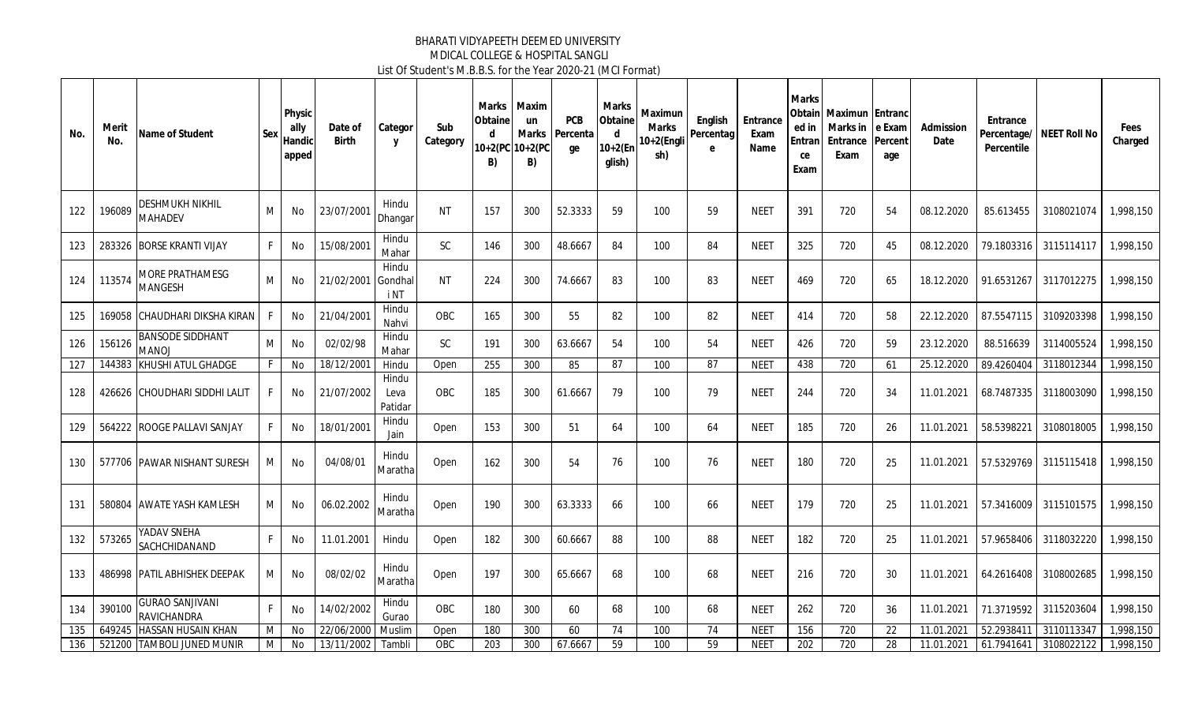| No. | Merit<br>No. | Name of Student                              | Sex | Physic<br>ally<br>Handic<br>apped | Date of<br><b>Birth</b> | Categor<br>y             | Sub<br>Category | Obtaine<br>d<br>B) | Marks   Maxim<br>un<br>Marks<br>10+2(PC 10+2(PC<br>B) | <b>PCB</b><br>Percenta<br>ge | Marks<br>Obtain<br>d<br>$10+2(Er)$<br>glish) | Maximun<br><b>Marks</b><br>10+2(Engli<br>sh) | English<br>Percentag<br>e | Entrance<br>Exam<br>Name | <b>Marks</b><br>ed in<br><b>Entran</b><br>ce<br>Exam | Obtain   Maximun   Entranc<br>Marks in<br>Entrance<br>Exam | e Exam<br>Percent<br>age | Admission<br>Date | Entrance<br>Percentile | Percentage/ NEET Roll No | Fees<br>Charged |
|-----|--------------|----------------------------------------------|-----|-----------------------------------|-------------------------|--------------------------|-----------------|--------------------|-------------------------------------------------------|------------------------------|----------------------------------------------|----------------------------------------------|---------------------------|--------------------------|------------------------------------------------------|------------------------------------------------------------|--------------------------|-------------------|------------------------|--------------------------|-----------------|
| 122 | 196089       | <b>DESHMUKH NIKHIL</b><br><b>MAHADEV</b>     | м   | No                                | 23/07/2001              | Hindu<br>Dhangar         | <b>NT</b>       | 157                | 300                                                   | 52.3333                      | 59                                           | 100                                          | 59                        | <b>NEET</b>              | 391                                                  | 720                                                        | 54                       | 08.12.2020        | 85.613455              | 3108021074               | 1.998.150       |
| 123 | 283326       | <b>BORSE KRANTI VIJAY</b>                    | F   | No                                | 15/08/2001              | Hindu<br>Mahar           | <b>SC</b>       | 146                | 300                                                   | 48.6667                      | 84                                           | 100                                          | 84                        | <b>NEET</b>              | 325                                                  | 720                                                        | 45                       | 08.12.2020        | 79.1803316             | 3115114117               | 1,998,150       |
| 124 | 113574       | MORE PRATHAMESG<br><b>MANGESH</b>            | М   | No                                | 21/02/2001              | Hindu<br>Gondhal<br>i NT | <b>NT</b>       | 224                | 300                                                   | 74.6667                      | 83                                           | 100                                          | 83                        | <b>NEET</b>              | 469                                                  | 720                                                        | 65                       | 18.12.2020        | 91.6531267             | 3117012275               | 1,998,150       |
| 125 |              | 169058 CHAUDHARI DIKSHA KIRAN                | F.  | No                                | 21/04/2001              | Hindu<br>Nahvi           | OBC             | 165                | 300                                                   | 55                           | 82                                           | 100                                          | 82                        | <b>NEET</b>              | 414                                                  | 720                                                        | 58                       | 22.12.2020        | 87.5547115             | 3109203398               | 1,998,150       |
| 126 | 156126       | <b>BANSODE SIDDHANT</b><br><b>MANOJ</b>      | M   | No                                | 02/02/98                | Hindu<br>Mahar           | <b>SC</b>       | 191                | 300                                                   | 63.6667                      | 54                                           | 100                                          | 54                        | <b>NEET</b>              | 426                                                  | 720                                                        | 59                       | 23.12.2020        | 88.516639              | 3114005524               | 1,998,150       |
| 127 |              | 144383 KHUSHI ATUL GHADGE                    | F   | No                                | 18/12/2001              | Hindu                    | Open            | 255                | 300                                                   | 85                           | 87                                           | 100                                          | 87                        | <b>NEET</b>              | 438                                                  | 720                                                        | 61                       | 25.12.2020        | 89.4260404             | 3118012344               | 1,998,150       |
| 128 |              | 426626 CHOUDHARI SIDDHI LALIT                | F.  | No                                | 21/07/2002              | Hindu<br>Leva<br>Patidar | OBC             | 185                | 300                                                   | 61.6667                      | 79                                           | 100                                          | 79                        | <b>NEET</b>              | 244                                                  | 720                                                        | 34                       | 11.01.2021        | 68.7487335             | 3118003090               | 1,998,150       |
| 129 |              | 564222 ROOGE PALLAVI SANJAY                  | F   | No                                | 18/01/2001              | Hindu<br>Jain            | Open            | 153                | 300                                                   | 51                           | 64                                           | 100                                          | 64                        | <b>NEET</b>              | 185                                                  | 720                                                        | 26                       | 11.01.2021        | 58.5398221             | 3108018005               | 1,998,150       |
| 130 |              | 577706 PAWAR NISHANT SURESH                  | М   | No                                | 04/08/01                | Hindu<br>Maratha         | Open            | 162                | 300                                                   | 54                           | 76                                           | 100                                          | 76                        | <b>NEET</b>              | 180                                                  | 720                                                        | 25                       | 11.01.2021        | 57.5329769             | 3115115418               | 1,998,150       |
| 131 |              | 580804 AWATE YASH KAMLESH                    | M   | No                                | 06.02.2002              | Hindu<br>Maratha         | Open            | 190                | 300                                                   | 63.3333                      | 66                                           | 100                                          | 66                        | <b>NEET</b>              | 179                                                  | 720                                                        | 25                       | 11.01.2021        | 57.3416009             | 3115101575               | 1,998,150       |
| 132 | 573265       | YADAV SNEHA<br>SACHCHIDANAND                 | F   | No                                | 11.01.2001              | Hindu                    | Open            | 182                | 300                                                   | 60.6667                      | 88                                           | 100                                          | 88                        | <b>NEET</b>              | 182                                                  | 720                                                        | 25                       | 11.01.2021        | 57.9658406             | 3118032220               | 1,998,150       |
| 133 |              | 486998 PATIL ABHISHEK DEEPAK                 | М   | No                                | 08/02/02                | Hindu<br>Maratha         | Open            | 197                | 300                                                   | 65.6667                      | 68                                           | 100                                          | 68                        | <b>NEET</b>              | 216                                                  | 720                                                        | 30                       | 11.01.2021        | 64.2616408             | 3108002685               | 1,998,150       |
| 134 | 390100       | <b>GURAO SANJIVANI</b><br><b>RAVICHANDRA</b> | F.  | No                                | 14/02/2002              | Hindu<br>Gurao           | OBC             | 180                | 300                                                   | 60                           | 68                                           | 100                                          | 68                        | <b>NEET</b>              | 262                                                  | 720                                                        | 36                       | 11.01.2021        | 71.3719592             | 3115203604               | 1,998,150       |
| 135 | 649245       | <b>HASSAN HUSAIN KHAN</b>                    | M   | <b>No</b>                         | 22/06/2000              | Muslim                   | Open            | 180                | 300                                                   | 60                           | 74                                           | 100                                          | 74                        | <b>NEET</b>              | 156                                                  | $\overline{720}$                                           | 22                       | 11.01.2021        | 52.293841              | 3110113347               | 1,998,150       |
| 136 |              | 521200 TAMBOLI JUNED MUNIR                   | M   | No                                | 13/11/2002              | Tambli                   | OBC             | 203                | 300                                                   | 67.6667                      | 59                                           | 100                                          | 59                        | <b>NEET</b>              | 202                                                  | 720                                                        | 28                       | 11.01.2021        | 61.7941641             | 3108022122               | 1,998,150       |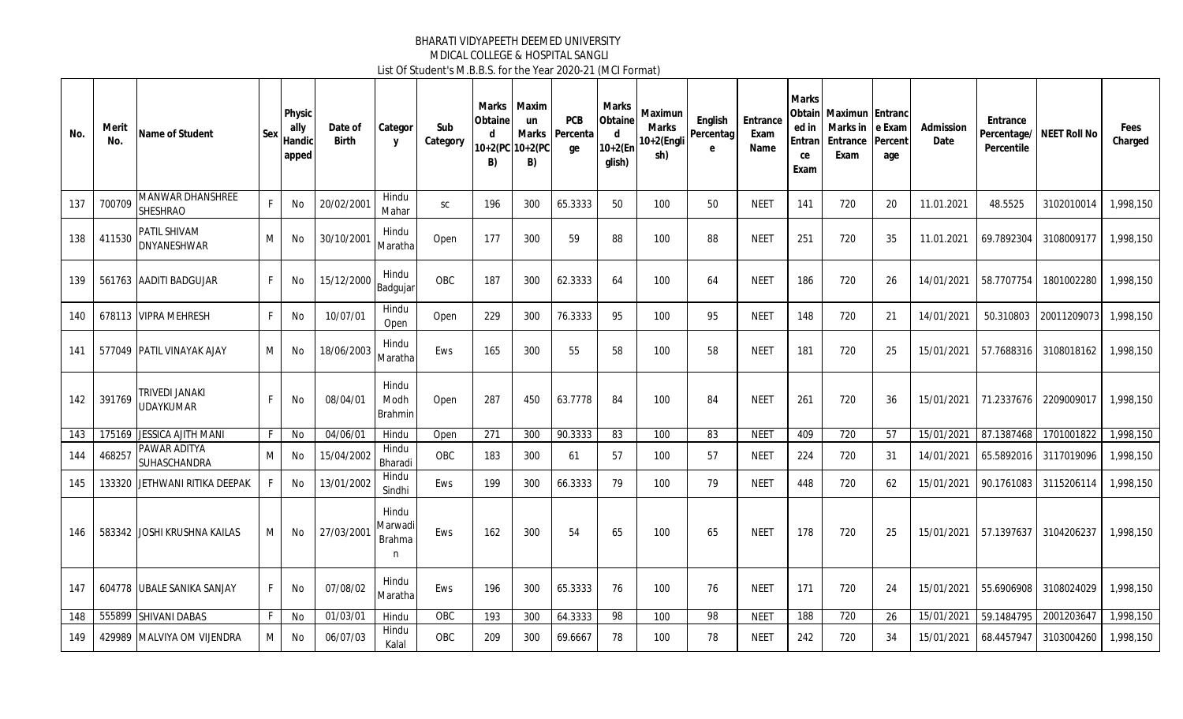| No. | Merit<br>No. | Name of Student                            | Sex | Physic<br>ally<br>Handic<br>apped | Date of<br><b>Birth</b> | Categor<br>y                           | Sub<br>Category | Obtaine<br>d<br>B) | Marks   Maxim<br>un<br>Marks<br>10+2(PC 10+2(PC<br>B) | <b>PCB</b><br>Percenta<br>ge | Marks<br>Obtaine<br>d<br>$10+2(Er)$<br>glish) | Maximun<br><b>Marks</b><br>10+2(Engli<br>sh) | English<br>Percentag<br>e | Entrance<br>Exam<br>Name | <b>Marks</b><br>ed in<br>Entran<br>ce<br>Exam | Obtain Maximun Entranc<br>Marks in<br>Entrance<br>Exam | e Exam<br>Percent<br>age | Admission<br>Date | Entrance<br>Percentage/<br>Percentile | NEET Roll No | Fees<br>Charged |
|-----|--------------|--------------------------------------------|-----|-----------------------------------|-------------------------|----------------------------------------|-----------------|--------------------|-------------------------------------------------------|------------------------------|-----------------------------------------------|----------------------------------------------|---------------------------|--------------------------|-----------------------------------------------|--------------------------------------------------------|--------------------------|-------------------|---------------------------------------|--------------|-----------------|
| 137 | 700709       | <b>MANWAR DHANSHREE</b><br><b>SHESHRAO</b> | F   | No                                | 20/02/2001              | Hindu<br>Mahar                         | <b>SC</b>       | 196                | 300                                                   | 65.3333                      | 50                                            | 100                                          | 50                        | <b>NEET</b>              | 141                                           | 720                                                    | 20                       | 11.01.2021        | 48.5525                               | 3102010014   | 1,998,150       |
| 138 | 411530       | PATIL SHIVAM<br><b>DNYANESHWAR</b>         | М   | No                                | 30/10/2001              | Hindu<br>Maratha                       | Open            | 177                | 300                                                   | 59                           | 88                                            | 100                                          | 88                        | <b>NEET</b>              | 251                                           | 720                                                    | 35                       | 11.01.2021        | 69.7892304                            | 3108009177   | 1,998,150       |
| 139 |              | 561763 AADITI BADGUJAR                     | F.  | No                                | 15/12/2000              | Hindu<br>Badgujar                      | OBC             | 187                | 300                                                   | 62.3333                      | 64                                            | 100                                          | 64                        | <b>NEET</b>              | 186                                           | 720                                                    | 26                       | 14/01/2021        | 58.7707754                            | 1801002280   | 1,998,150       |
| 140 |              | 678113 VIPRA MEHRESH                       | F   | No                                | 10/07/01                | Hindu<br>Open                          | Open            | 229                | 300                                                   | 76.3333                      | 95                                            | 100                                          | 95                        | <b>NEET</b>              | 148                                           | 720                                                    | 21                       | 14/01/2021        | 50.310803                             | 20011209073  | 1,998,150       |
| 141 |              | 577049 PATIL VINAYAK AJAY                  | М   | No                                | 18/06/2003              | Hindu<br>Maratha                       | <b>Ews</b>      | 165                | 300                                                   | 55                           | 58                                            | 100                                          | 58                        | <b>NEET</b>              | 181                                           | 720                                                    | 25                       | 15/01/2021        | 57.7688316                            | 3108018162   | 1,998,150       |
| 142 | 391769       | TRIVEDI JANAKI<br><b>UDAYKUMAR</b>         | F.  | No                                | 08/04/01                | Hindu<br>Modh<br><b>Brahmin</b>        | Open            | 287                | 450                                                   | 63.7778                      | 84                                            | 100                                          | 84                        | <b>NEET</b>              | 261                                           | 720                                                    | 36                       | 15/01/2021        | 71.2337676                            | 2209009017   | 1,998,150       |
| 143 |              | 175169 JESSICA AJITH MANI                  | F.  | No                                | 04/06/01                | Hindu                                  | Open            | 271                | 300                                                   | 90.3333                      | 83                                            | 100                                          | 83                        | <b>NEET</b>              | 409                                           | 720                                                    | -57                      | 15/01/2021        | 87.1387468                            | 1701001822   | 1,998,150       |
| 144 | 468257       | <b>PAWAR ADITYA</b><br><b>SUHASCHANDRA</b> | м   | No                                | 15/04/2002              | Hindu<br>Bharadi                       | OBC             | 183                | 300                                                   | 61                           | 57                                            | 100                                          | 57                        | <b>NEET</b>              | 224                                           | 720                                                    | 31                       | 14/01/2021        | 65.5892016                            | 3117019096   | 1,998,150       |
| 145 | 133320       | JETHWANI RITIKA DEEPAK                     | F   | No                                | 13/01/2002              | Hindu<br>Sindhi                        | Ews             | 199                | 300                                                   | 66.3333                      | 79                                            | 100                                          | 79                        | <b>NEET</b>              | 448                                           | 720                                                    | 62                       | 15/01/2021        | 90.1761083                            | 3115206114   | 1,998,150       |
| 146 |              | 583342 JJOSHI KRUSHNA KAILAS               | М   | No                                | 27/03/2001              | Hindu<br>Marwadi<br><b>Brahma</b><br>n | Ews             | 162                | 300                                                   | 54                           | 65                                            | 100                                          | 65                        | <b>NEET</b>              | 178                                           | 720                                                    | 25                       | 15/01/2021        | 57.1397637                            | 3104206237   | 1.998.150       |
| 147 |              | 604778 UBALE SANIKA SANJAY                 | F.  | No                                | 07/08/02                | Hindu<br>Maratha                       | Ews             | 196                | 300                                                   | 65.3333                      | 76                                            | 100                                          | 76                        | <b>NEET</b>              | 171                                           | 720                                                    | 24                       | 15/01/2021        | 55.6906908                            | 3108024029   | 1,998,150       |
| 148 |              | 555899 SHIVANI DABAS                       | F   | No                                | 01/03/01                | Hindu                                  | ORC             | 193                | 300                                                   | 64.3333                      | 98                                            | 100                                          | 98                        | <b>NEET</b>              | 188                                           | $\overline{720}$                                       | 26                       | 15/01/2021        | 59.1484795                            | 2001203647   | 1,998,150       |
| 149 |              | 429989 MALVIYA OM VIJENDRA                 | М   | No                                | 06/07/03                | Hindu<br>Kalal                         | OBC             | 209                | 300                                                   | 69.6667                      | 78                                            | 100                                          | 78                        | <b>NEET</b>              | 242                                           | 720                                                    | 34                       | 15/01/2021        | 68.4457947                            | 3103004260   | 1,998,150       |